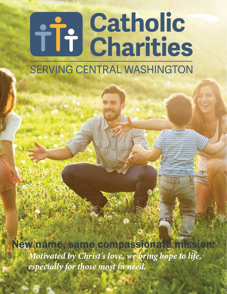# **The Catholic SERVING CENTRAL WASHINGTON**

*Motivated by Christ's love, we bring hope to life, especially for those most in need.* New name, same compassionate mission: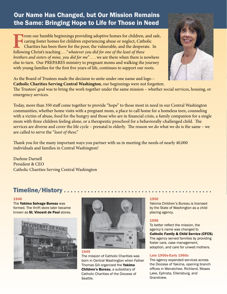# Our Name Has Changed, but Our Mission Remains the Same: Bringing Hope to Life for Those in Need

**From our humble beginnings providing adoptive homes for children, and safe,**<br>caring foster homes for children experiencing abuse or neglect, Catholic<br>Charities has been there for the poor, the vulnerable, and the desperat caring foster homes for children experiencing abuse or neglect, Catholic Charities has been there for the poor, the vulnerable, and the desperate. In following Christ's teaching . . ."*whatever you did for one of the least of these brothers and sisters of mine, you did for me*" . . . we are there when there is nowhere else to turn. Our PREPARES ministry to pregnant moms and walking the journey with young families for the first five years of life, continues to support our roots.



As the Board of Trustees made the decision to unite under one name and logo – **Catholic Charities Serving Central Washington**, our beginnings were not forgotten.

The Trustees' goal was to bring the work together under the same mission – whether social services, housing, or emergency services.

Today, more than 350 staff come together to provide "hope" to those most in need in our Central Washington communities, whether home visits with a pregnant mom, a place to call home for a homeless teen, counseling with a victim of abuse, food for the hungry and those who are in financial crisis, a family companion for a single mom with three children feeling alone, or a therapeutic preschool for a behaviorally-challenged child. The services are diverse and cover the life cycle – prenatal to elderly. The reason we do what we do is the same – we are called to serve the "*least of these*."

Thank you for the many important ways you partner with us in meeting the needs of nearly 40,000 individuals and families in Central Washington!

Darlene Darnell President & CEO Catholic Charities Serving Central Washington

## Timeline/History .

#### 1946

The Yakima Salvage Bureau was formed. The thrift store later became known as St. Vincent de Paul stores.





The mission of Catholic Charities was born in Central Washington when Father Thomas Gill organized the Yakima Children's Bureau, a subsidiary of Catholic Charities of the Diocese of Seattle.

#### 1950

Yakima Children's Bureau is licensed by the State of Washington as a child placing agency.

#### 1956

To better reflect the mission, the agency's name was changed to Catholic Family & Child Service (CFCS). The agency served families by providing foster care, case management, adoption, and care for unwed mothers.

#### Late 1950s-Early 1960s

The agency expanded services across the Diocese of Yakima, opening branch offices in Wenatchee, Richland, Moses Lake, Ephrata, Ellensburg, and Grandview.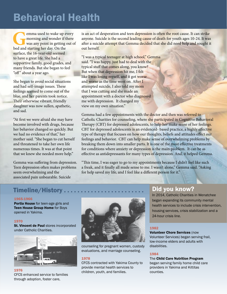# Behavioral Health

**G**emma used to wake up every<br>morning and wonder if there<br>was any point in getting out of<br>bed and starting her day. On the morning and wonder if there was any point in getting out of bed and starting her day. On the surface, the 16-year-old seemed to have a great life. She had a supportive family, good grades, and many friends. But she began to feel "off" about a year ago.

She began to avoid social situations and had self-image issues. These feelings seemed to come out of the blue, and her parents took notice. Their otherwise vibrant, friendly daughter was now sullen, apathetic, and sad.

"At first we were afraid she may have become involved with drugs, because her behavior changed so quickly. But we had no evidence of that," her mother said. "She began to cut herself and threatened to take her own life numerous times. It was at that point that we knew she needed more help."

Gemma was suffering from depression. Teen depression often makes problems seem overwhelming and the associated pain unbearable. Suicide

is an act of desperation and teen depression is often the root cause. It can strike anyone. Suicide is the second leading cause of death for youth ages 10-24. It was after a suicide attempt that Gemma decided that she did need help and sought it out herself.

"I was a typical teenager at high school," Gemma said. "I was happy, just had to deal with the typical stuff that comes along, you know? But when that depression hit me, I felt like I was losing myself, and it got worse and worse as the time went on. After I attempted suicide, I also told my mom that I was cutting and she made an appointment with a doctor who diagnosed me with depression. It changed my view on my own situation."

Gemma had a few appointments with the doctor and then was referred to Catholic Charities for counseling, where she participated in Cognitive Behavioral Therapy (CBT) for depressed adolescents, to help her make sense of her feelings. CBT for depressed adolescents is an evidenced- based practice, a highly effective type of therapy that focuses on how our thoughts, beliefs and attitudes effect our feelings and behavior. CBT can help make sense of overwhelming problems by breaking them down into smaller parts. It is one of the most effective treatments for conditions where anxiety or depression is the main problem. It can be as effective as antidepressants for many types of depression. And, it helped Gemma.

"This time, I was eager to go to my appointments because I didn't feel like such a freak, and it finally all made sense to me. I wasn't alone," Gemma said. "Asking for help saved my life, and I feel like a different person for it."

# Timeline/History . . . . . . . . . . . . . . . . . . . . . . . . Did you know?

#### 1965-1966

Portia House for teen-age girls and Teen House Group Home for Boys opened in Yakima.

#### 1970

St. Vincent de Paul stores incorporated under Catholic Charities.



#### 1976

CFCS enhanced service to families through adoption, foster care,



counseling for pregnant women, custody evaluations, and marriage counseling.

#### 1978

CFCS contracted with Yakima County to provide mental health services to children, youth, and families.

In 2014, Catholic Charities in Wenatchee began expanding its community mental health services to include crisis intervention, housing services, crisis stabilization and a 24-hour crisis line.

#### 1982

Volunteer Chore Services (now Volunteer Services) began serving frail, low-income elders and adults with disabilities.

#### 1984

The Child Care Nutrition Program began serving family home child care providers in Yakima and Kittitas counties.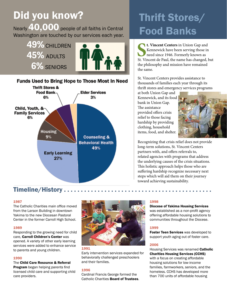# Did you know?

Nearly 40,000 people of all faiths in Central **Food Banks** Washington are touched by our services each year.



**Funds Used to Bring Hope to Those Most In Need** 



# Thrift Stores/

**SEE 18 CONCRETE:** St. Vincent Centers in Union Gap and Kennewick have been serving those in need since 1946. Formerly known as St. Vincent de Paul, the name has changed, but **t. Vincent Centers** in Union Gap and Kennewick have been serving those in need since 1946. Formerly known as the philosophy and mission have remained the same.

St. Vincent Centers provides assistance to thousands of families each year through its thrift stores and emergency services programs

at both Union Gap and Kennewick, and its food bank in Union Gap. The assistance provided offers crisis relief to those facing hardship by providing clothing, household items, food, and shelter.



Recognizing that crisis relief does not provide long-term solutions, St. Vincent Centers partners with, and offers referrals to, related agencies with programs that address the underlying causes of the crisis situations. This holistic approach helps those who are suffering hardship recognize necessary next steps which will aid them on their journey toward achieving sustainability.

## Timeline/History . . .

#### 1987

The Catholic Charities main office moved from the Larson Building in downtown Yakima to the new Diocesan Pastoral Center in the former Carroll High School.

#### 1989

Responding to the growing need for child care, Carroll Children's Center was opened. A variety of other early learning services were added to enhance service to parents and young children.

#### 1990

The Child Care Resource & Referral Program began helping parents find licensed child care and supporting child care providers.



Early intervention services expanded for behaviorally challenged preschoolers and their families.

#### 1996

Cardinal Francis George formed the Catholic Charities Board of Trustees.

#### 1998

Diocese of Yakima Housing Services

was established as a non-profit agency offering affordable housing solutions to communities throughout the Diocese.

#### 1999

Foster Teen Services was developed to support youth aging out of foster care.

#### 2006

Housing Services was renamed Catholic Charities Housing Services (CCHS) with a focus on creating affordable housing solutions for low-income families, farmworkers, seniors, and the homeless. CCHS has developed more than 700 units of affordable housing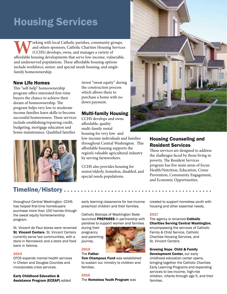# **Housing Services**

**W**orking with local Catholic parishes, community groups, and others sponsors, Catholic Charities Housing Services (CCHS) develops, owns, and manages a variety of affordable housing developments that serve low-income, vuln and others sponsors, Catholic Charities Housing Services (CCHS) develops, owns, and manages a variety of and underserved populations. These affordable housing options include workforce, senior. and special needs housing, and singlefamily homeownership.

#### New Life Homes

This "self-help" homeownership program offers interested first-time buyers the chance to achieve their dream of homeownership. The program helps very low to moderate income families learn skills to become successful homeowners. These services include establishing/repairing credit, budgeting, mortgage education and home maintenance. Qualified families



### Timeline/History .

throughout Central Washington. CCHS has helped first-time homebuyers purchase more than 150 homes through the sweat equity homeownership program.

St. Vincent de Paul stores were renamed **St. Vincent Centers.** St. Vincent Centers currently serve two communities, with a store in Kennewick and a store and food bank in Yakima.

#### 2014

CFCS expands mental health services in Chelan and Douglas Counties and incorporates crisis services.

Early Childhood Education & Assistance Program (ECEAP) added invest "sweat equity" during the construction process which allows them to purchase a home with no down payment.

#### Multi-family Housing

CCHS develops and owns affordable, quality multi-family rental housing for very low- and low-income individuals and families throughout Central Washington. This affordable housing supports the region's valuable agricultural industry by serving farmworkers.

CCHS also provides housing for senior/elderly, homeless, disabled, and special needs populations.



### Housing Counseling and Resident Services

These services are designed to address the challenges faced by those living in poverty. The Resident Services program has five main areas of focus: Health/Nutrition, Education, Crime Prevention, Community Engagement, and Economic Opportunities.

early learning classrooms for low-income preschool children and their families.

Catholic Bishops of Washington State launched PREPARES in partnership with parishes to support women and families

during their pregnancy and parenting journey.

#### 2015

The Father

Tom Champoux Fund was established to sustain our ministry to children and families.

#### 2016

The Homeless Youth Program was

created to support homeless youth with housing and other essential needs.

#### 2017

The agency is renamed Catholic Charities Serving Central Washington, encompassing the services of Catholic Family & Child Service, Catholic Charities Housing Services, and

### St. Vincent Centers. Growing Hope, Child & Family Development Center, our early

childhood education center opens, bringing together the Catholic Charities Early Learning Programs and expanding services to low-income, high-risk children, infants through age 5, and their families.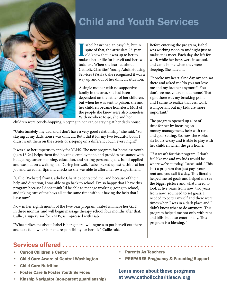

# **Child and Youth Services**

sabel hasn't had an easy life, but in spite of that, the articulate 23-year-old knew that it was up to her to make a better life for herself and her two sabel hasn't had an easy life, but in spite of that, the articulate 23-yearold knew that it was up to her to toddlers. When she learned about Catholic Charities' Young Adult Housing Services (YAHS), she recognized it was a way up and out of her difficult situation.

A single mother with no supportive family in the area, she had been dependent on the father of her children, but when he was sent to prison, she and her children became homeless. Most of the people she knew were also homeless. With nowhere to go, she and her

children were couch-hopping, sleeping in her car, or staying at her dad's house.

"Unfortunately, my dad and I don't have a very good relationship," she said. "So, staying at my dad's house was difficult. But I did it for my two beautiful boys. I didn't want them on the streets or sleeping on a different couch every night."

It was also her impetus to apply for YAHS. The new program for homeless youth (ages 18-24) helps them find housing, employment, and provides assistance with budgeting, career planning, education, and setting personal goals. Isabel applied and was put on a waiting list. During her wait, Isabel picked up extra shifts at her job and saved her tips and checks so she was able to afford her own apartment.

"Callie [Webster] from Catholic Charities contacted me, and because of their help and direction, I was able to go back to school. I'm so happy that I have this program because I don't think I'd be able to manage working, going to school, and taking care of the boys all at the same time without having the help that I have now."

Now in her eighth month of the two-year program, Isabel will have her GED in three months, and will begin massage therapy school four months after that. Callie, a supervisor for YAHS, is impressed with Isabel.

"What strikes me about Isabel is her general willingness to put herself out there and take full ownership and responsibility for her life," Callie said.

## Services offered . . . . . . . .

- Carroll Children's Center
- Child Care Aware of Central Washington
- Child Care Nutrition
- **Foster Care & Foster Youth Services**
- Kinship Navigator (non-parent guardianship)

Before entering the program, Isabel was working noon to midnight just to make ends meet. Each day she left for work while her boys were in school, and came home when they were sleeping. She hated it.

"It broke my heart. One day my son sat there and asked me 'do you not love me and my brother anymore? You don't see me, you're not at home.' That right there was my breaking point and I came to realize that yes, work is important but my kids are more important."

The program opened up a lot of time for her by focusing on money management, help with rent and goal-setting. So, now she works six hours-a-day and is able to play with her children when she gets home.

"If it wasn't for this program, I don't feel like me and my kids would be where we're at today," Isabel said. "This isn't a program that just pays your rent and you call it a day. This literally helped me set goals and helped me see the bigger picture and what I need to look at five years from now, two years from now. You need to set goals. I needed to better myself and there were times when I was in a dark place and I didn't know what to do anymore. This program helped me not only with rent and bills, but also emotionally. This program is a blessing. "

- Parents As Teachers
- PREPARES Pregnancy & Parenting Support

Learn more about these programs at www.catholiccharitiescw.org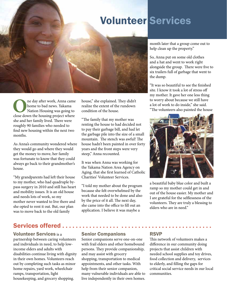# Volunteer the dump. Volunteer Services

**O**ne day after work, Anna came<br>
home to bad news. Yakama<br>
Nation Housing was going to<br>
close down the housing project where home to bad news. Yakama Nation Housing was going to she and her family lived. There were roughly 90 families who needed to find new housing within the next two months.

As Anna's community wondered where they would go and where they would get the money to move, her family was fortunate to know that they could always go back to their grandmother's house.

"My grandparents had left their house to my mother, who had quadruple bypass surgery in 2010 and still has heart and mobility issues. It is an old house and needs lots of work, so my mother never wanted to live there and she opted to rent it out. But, our plan was to move back to the old family

## Services offered . .

Volunteer Services is a partnership between caring volunteers and individuals in need, to help lowincome elders and adults with disabilities continue living with dignity in their own homes. Volunteers reach out by completing such tasks as minor home repairs, yard work, wheelchair ramps, transportation, light housekeeping, and grocery shopping.

house," she explained. They didn't realize the extent of the rundown condition of the house.

"The family that my mother was renting the house to had decided not to pay their garbage bill, and had let the garbage pile into the size of a small mountain. The stench was awful! The house hadn't been painted in over forty years and the front steps were very steep," Anna recounted.

It was when Anna was working for the Yakama Nation Area Agency on Aging, that she first learned of Catholic Charities' Volunteer Services.

"I told my mother about the program because she felt overwhelmed by the work that needed to be done and also by the price of it all. The next day, she came into the office to fill out an application. I believe it was maybe a

month later that a group come out to help clean up the property."

So, Anna put on some old clothes and a hat and went to work right alongside the group. There were five to six trailers full of garbage that went to

"It was so beautiful to see the finished site. I know it took a lot of stress off my mother. It gave her one less thing to worry about because we still have a lot of work to do inside," she said. "The volunteers also painted the house



a beautiful baby blue color and built a ramp so my mother could get in and out of the house easier. My mother and I are grateful for the selflessness of the volunteers. They are truly a blessing to elders who are in need."

#### Senior Companions

Senior companions serve one-on-one with frail elders and other homebound persons. They provide companionship, and may assist with grocery shopping, transportation to medical appointments, and other tasks. With help from their senior companion, many vulnerable individuals are able to live independently in their own homes.

#### RSVP

This network of volunteers makes a difference in our community doing projects that assist children with needed school supplies and toy drives, food collection and delivery, services to elderly, and filling the gaps for critical social service needs in our local communities.